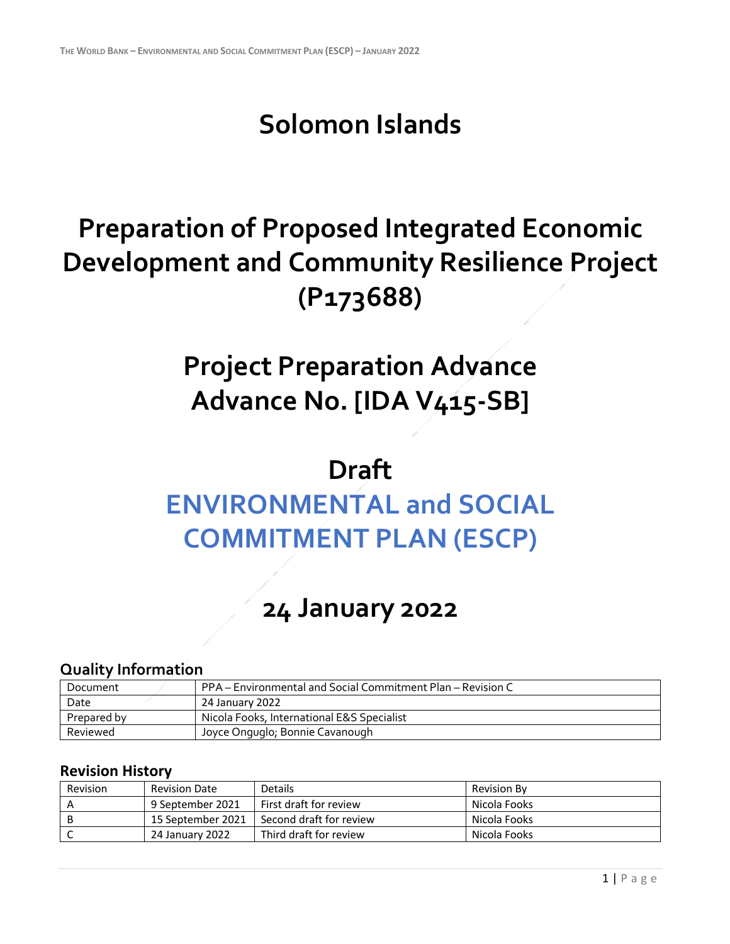## **Solomon Islands**

# **Preparation of Proposed Integrated Economic Development and Community Resilience Project (P173688)**

# **Project Preparation Advance Advance No. [IDA V415-SB]**

### **Draft**

# **ENVIRONMENTAL and SOCIAL COMMITMENT PLAN (ESCP)**

## **24 January 2022**

### **Quality Information**

| Document    | PPA – Environmental and Social Commitment Plan – Revision C |
|-------------|-------------------------------------------------------------|
| Date        | 24 January 2022                                             |
| Prepared by | Nicola Fooks, International E&S Specialist                  |
| Reviewed    | Joyce Onguglo; Bonnie Cavanough                             |

### **Revision History**

| Revision | <b>Revision Date</b> | <b>Details</b>          | <b>Revision By</b> |
|----------|----------------------|-------------------------|--------------------|
|          | 9 September 2021     | First draft for review  | Nicola Fooks       |
|          | 15 September 2021    | Second draft for review | Nicola Fooks       |
|          | 24 January 2022      | Third draft for review  | Nicola Fooks       |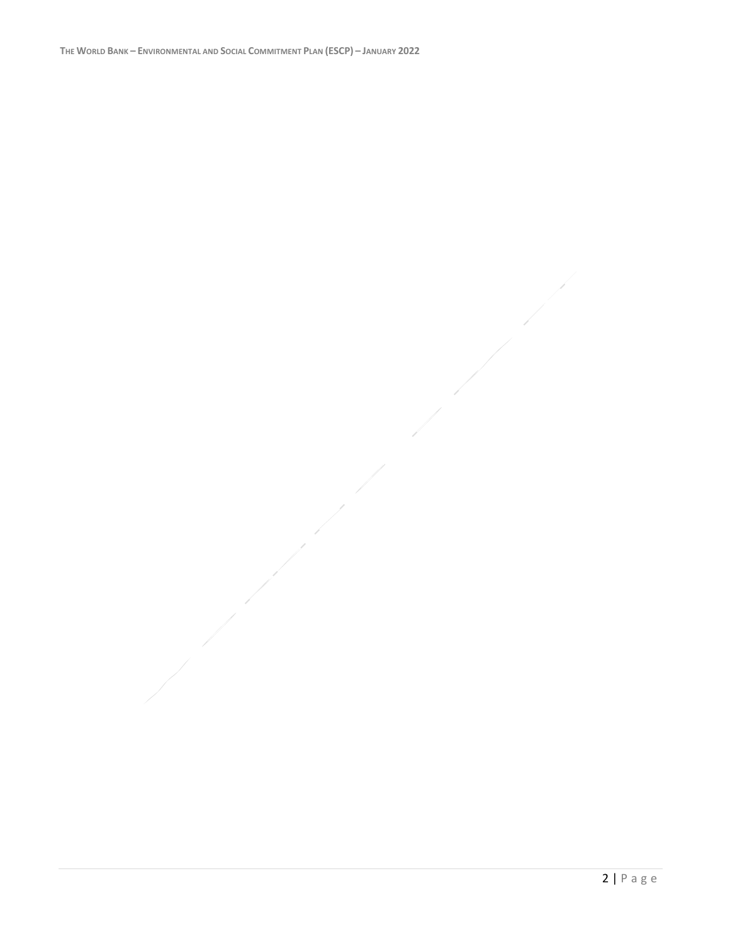2 | Page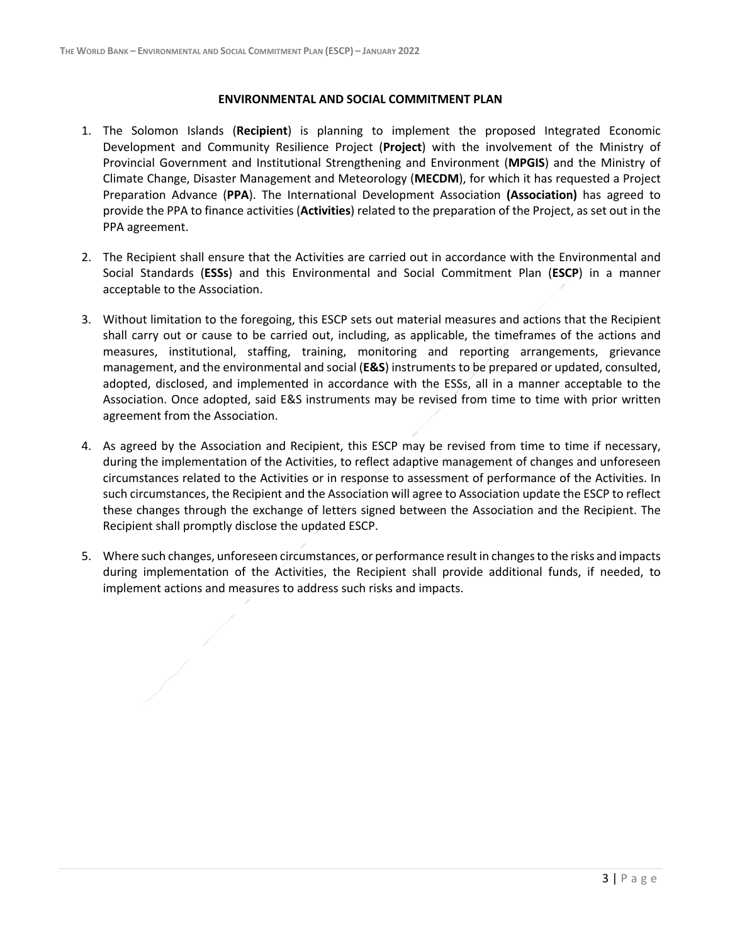### **ENVIRONMENTAL AND SOCIAL COMMITMENT PLAN**

- 1. The Solomon Islands (**Recipient**) is planning to implement the proposed Integrated Economic Development and Community Resilience Project (**Project**) with the involvement of the Ministry of Provincial Government and Institutional Strengthening and Environment (**MPGIS**) and the Ministry of Climate Change, Disaster Management and Meteorology (**MECDM**), for which it has requested a Project Preparation Advance (**PPA**). The International Development Association **(Association)** has agreed to provide the PPA to finance activities (**Activities**) related to the preparation of the Project, as set out in the PPA agreement.
- 2. The Recipient shall ensure that the Activities are carried out in accordance with the Environmental and Social Standards (**ESSs**) and this Environmental and Social Commitment Plan (**ESCP**) in a manner acceptable to the Association.
- 3. Without limitation to the foregoing, this ESCP sets out material measures and actions that the Recipient shall carry out or cause to be carried out, including, as applicable, the timeframes of the actions and measures, institutional, staffing, training, monitoring and reporting arrangements, grievance management, and the environmental and social (**E&S**) instruments to be prepared or updated, consulted, adopted, disclosed, and implemented in accordance with the ESSs, all in a manner acceptable to the Association. Once adopted, said E&S instruments may be revised from time to time with prior written agreement from the Association.
- 4. As agreed by the Association and Recipient, this ESCP may be revised from time to time if necessary, during the implementation of the Activities, to reflect adaptive management of changes and unforeseen circumstances related to the Activities or in response to assessment of performance of the Activities. In such circumstances, the Recipient and the Association will agree to Association update the ESCP to reflect these changes through the exchange of letters signed between the Association and the Recipient. The Recipient shall promptly disclose the updated ESCP.
- 5. Where such changes, unforeseen circumstances, or performance result in changes to the risks and impacts during implementation of the Activities, the Recipient shall provide additional funds, if needed, to implement actions and measures to address such risks and impacts.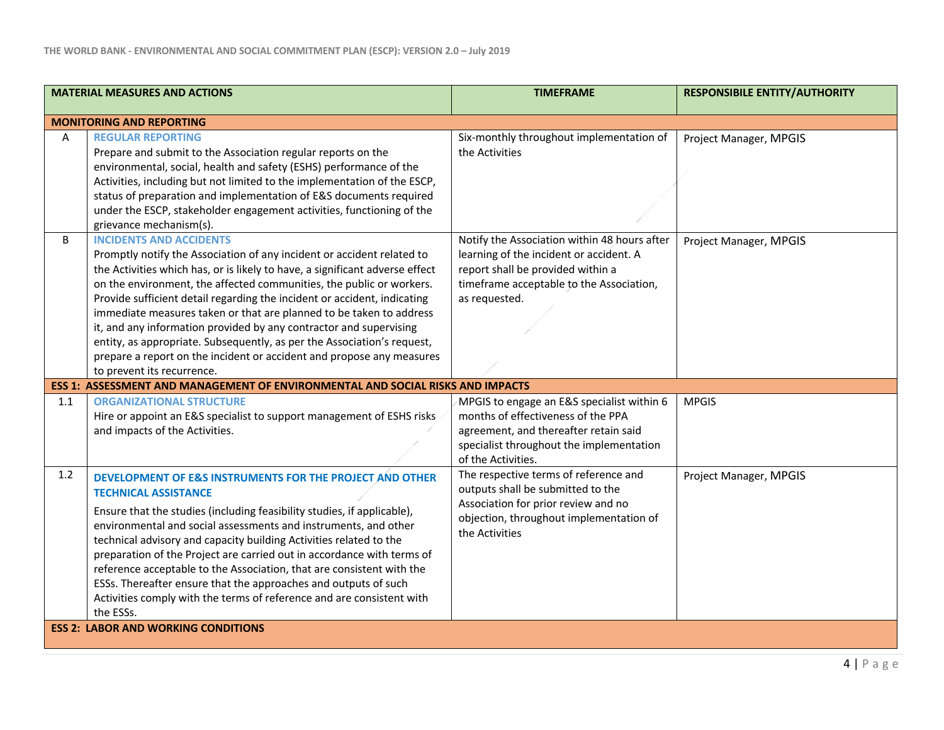| <b>MATERIAL MEASURES AND ACTIONS</b> |                                                                                                                                                                                                                                                                                                                                                                                                                                                                                                                                                                                                                                                                             | <b>TIMEFRAME</b>                                                                                                                                                                            | <b>RESPONSIBILE ENTITY/AUTHORITY</b> |  |  |  |
|--------------------------------------|-----------------------------------------------------------------------------------------------------------------------------------------------------------------------------------------------------------------------------------------------------------------------------------------------------------------------------------------------------------------------------------------------------------------------------------------------------------------------------------------------------------------------------------------------------------------------------------------------------------------------------------------------------------------------------|---------------------------------------------------------------------------------------------------------------------------------------------------------------------------------------------|--------------------------------------|--|--|--|
|                                      | <b>MONITORING AND REPORTING</b>                                                                                                                                                                                                                                                                                                                                                                                                                                                                                                                                                                                                                                             |                                                                                                                                                                                             |                                      |  |  |  |
| A                                    | <b>REGULAR REPORTING</b><br>Prepare and submit to the Association regular reports on the<br>environmental, social, health and safety (ESHS) performance of the<br>Activities, including but not limited to the implementation of the ESCP,<br>status of preparation and implementation of E&S documents required<br>under the ESCP, stakeholder engagement activities, functioning of the<br>grievance mechanism(s).                                                                                                                                                                                                                                                        | Six-monthly throughout implementation of<br>the Activities                                                                                                                                  | Project Manager, MPGIS               |  |  |  |
| B                                    | <b>INCIDENTS AND ACCIDENTS</b><br>Promptly notify the Association of any incident or accident related to<br>the Activities which has, or is likely to have, a significant adverse effect<br>on the environment, the affected communities, the public or workers.<br>Provide sufficient detail regarding the incident or accident, indicating<br>immediate measures taken or that are planned to be taken to address<br>it, and any information provided by any contractor and supervising<br>entity, as appropriate. Subsequently, as per the Association's request,<br>prepare a report on the incident or accident and propose any measures<br>to prevent its recurrence. | Notify the Association within 48 hours after<br>learning of the incident or accident. A<br>report shall be provided within a<br>timeframe acceptable to the Association,<br>as requested.   | Project Manager, MPGIS               |  |  |  |
|                                      | ESS 1: ASSESSMENT AND MANAGEMENT OF ENVIRONMENTAL AND SOCIAL RISKS AND IMPACTS                                                                                                                                                                                                                                                                                                                                                                                                                                                                                                                                                                                              |                                                                                                                                                                                             |                                      |  |  |  |
| 1.1                                  | <b>ORGANIZATIONAL STRUCTURE</b><br>Hire or appoint an E&S specialist to support management of ESHS risks<br>and impacts of the Activities.                                                                                                                                                                                                                                                                                                                                                                                                                                                                                                                                  | MPGIS to engage an E&S specialist within 6<br>months of effectiveness of the PPA<br>agreement, and thereafter retain said<br>specialist throughout the implementation<br>of the Activities. | <b>MPGIS</b>                         |  |  |  |
| 1.2                                  | DEVELOPMENT OF E&S INSTRUMENTS FOR THE PROJECT AND OTHER<br><b>TECHNICAL ASSISTANCE</b><br>Ensure that the studies (including feasibility studies, if applicable),<br>environmental and social assessments and instruments, and other<br>technical advisory and capacity building Activities related to the<br>preparation of the Project are carried out in accordance with terms of<br>reference acceptable to the Association, that are consistent with the<br>ESSs. Thereafter ensure that the approaches and outputs of such<br>Activities comply with the terms of reference and are consistent with<br>the ESSs.                                                     | The respective terms of reference and<br>outputs shall be submitted to the<br>Association for prior review and no<br>objection, throughout implementation of<br>the Activities              | Project Manager, MPGIS               |  |  |  |
|                                      | <b>ESS 2: LABOR AND WORKING CONDITIONS</b>                                                                                                                                                                                                                                                                                                                                                                                                                                                                                                                                                                                                                                  |                                                                                                                                                                                             |                                      |  |  |  |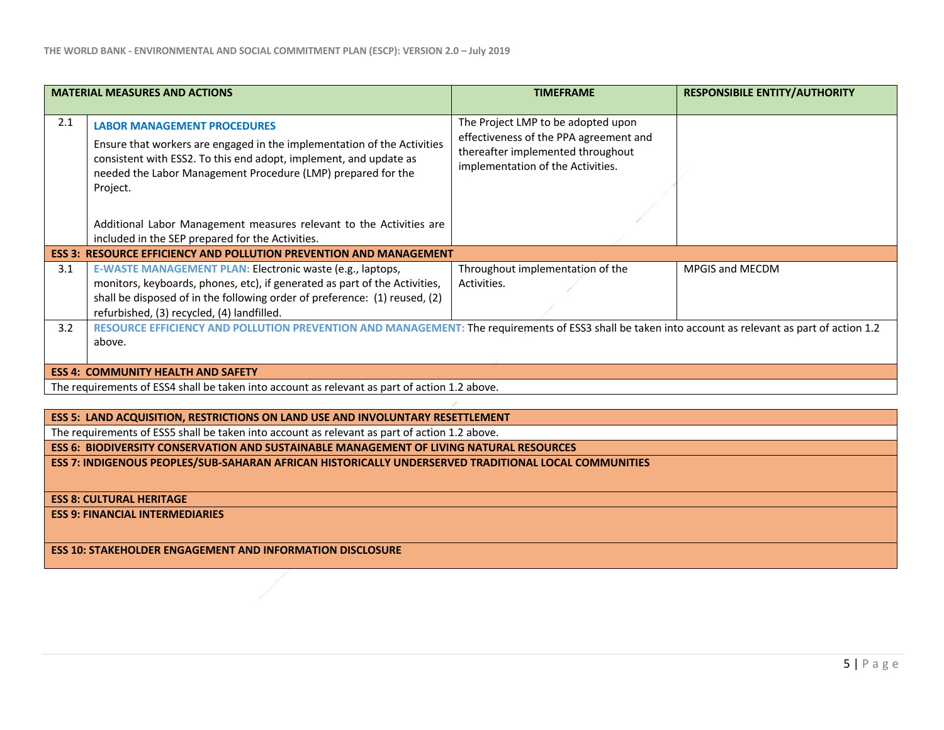| <b>MATERIAL MEASURES AND ACTIONS</b>                                                          |                                                                                                                                                                                                                                                                     | <b>TIMEFRAME</b>                                                                                                                                       | <b>RESPONSIBILE ENTITY/AUTHORITY</b> |  |
|-----------------------------------------------------------------------------------------------|---------------------------------------------------------------------------------------------------------------------------------------------------------------------------------------------------------------------------------------------------------------------|--------------------------------------------------------------------------------------------------------------------------------------------------------|--------------------------------------|--|
| 2.1                                                                                           | <b>LABOR MANAGEMENT PROCEDURES</b><br>Ensure that workers are engaged in the implementation of the Activities<br>consistent with ESS2. To this end adopt, implement, and update as<br>needed the Labor Management Procedure (LMP) prepared for the<br>Project.      | The Project LMP to be adopted upon<br>effectiveness of the PPA agreement and<br>thereafter implemented throughout<br>implementation of the Activities. |                                      |  |
|                                                                                               | Additional Labor Management measures relevant to the Activities are<br>included in the SEP prepared for the Activities.                                                                                                                                             |                                                                                                                                                        |                                      |  |
|                                                                                               | <b>ESS 3: RESOURCE EFFICIENCY AND POLLUTION PREVENTION AND MANAGEMENT</b>                                                                                                                                                                                           |                                                                                                                                                        |                                      |  |
| 3.1                                                                                           | E-WASTE MANAGEMENT PLAN: Electronic waste (e.g., laptops,<br>monitors, keyboards, phones, etc), if generated as part of the Activities,<br>shall be disposed of in the following order of preference: (1) reused, (2)<br>refurbished, (3) recycled, (4) landfilled. | Throughout implementation of the<br>Activities.                                                                                                        | <b>MPGIS and MECDM</b>               |  |
| 3.2                                                                                           | RESOURCE EFFICIENCY AND POLLUTION PREVENTION AND MANAGEMENT: The requirements of ESS3 shall be taken into account as relevant as part of action 1.2<br>above.                                                                                                       |                                                                                                                                                        |                                      |  |
| <b>ESS 4: COMMUNITY HEALTH AND SAFETY</b>                                                     |                                                                                                                                                                                                                                                                     |                                                                                                                                                        |                                      |  |
| The requirements of ESS4 shall be taken into account as relevant as part of action 1.2 above. |                                                                                                                                                                                                                                                                     |                                                                                                                                                        |                                      |  |

#### **ESS 5: LAND ACQUISITION, RESTRICTIONS ON LAND USE AND INVOLUNTARY RESETTLEMENT**

The requirements of ESS5 shall be taken into account as relevant as part of action 1.2 above.

**ESS 6: BIODIVERSITY CONSERVATION AND SUSTAINABLE MANAGEMENT OF LIVING NATURAL RESOURCES**

**ESS 7: INDIGENOUS PEOPLES/SUB-SAHARAN AFRICAN HISTORICALLY UNDERSERVED TRADITIONAL LOCAL COMMUNITIES**

#### **ESS 8: CULTURAL HERITAGE**

**ESS 9: FINANCIAL INTERMEDIARIES**

**ESS 10: STAKEHOLDER ENGAGEMENT AND INFORMATION DISCLOSURE**